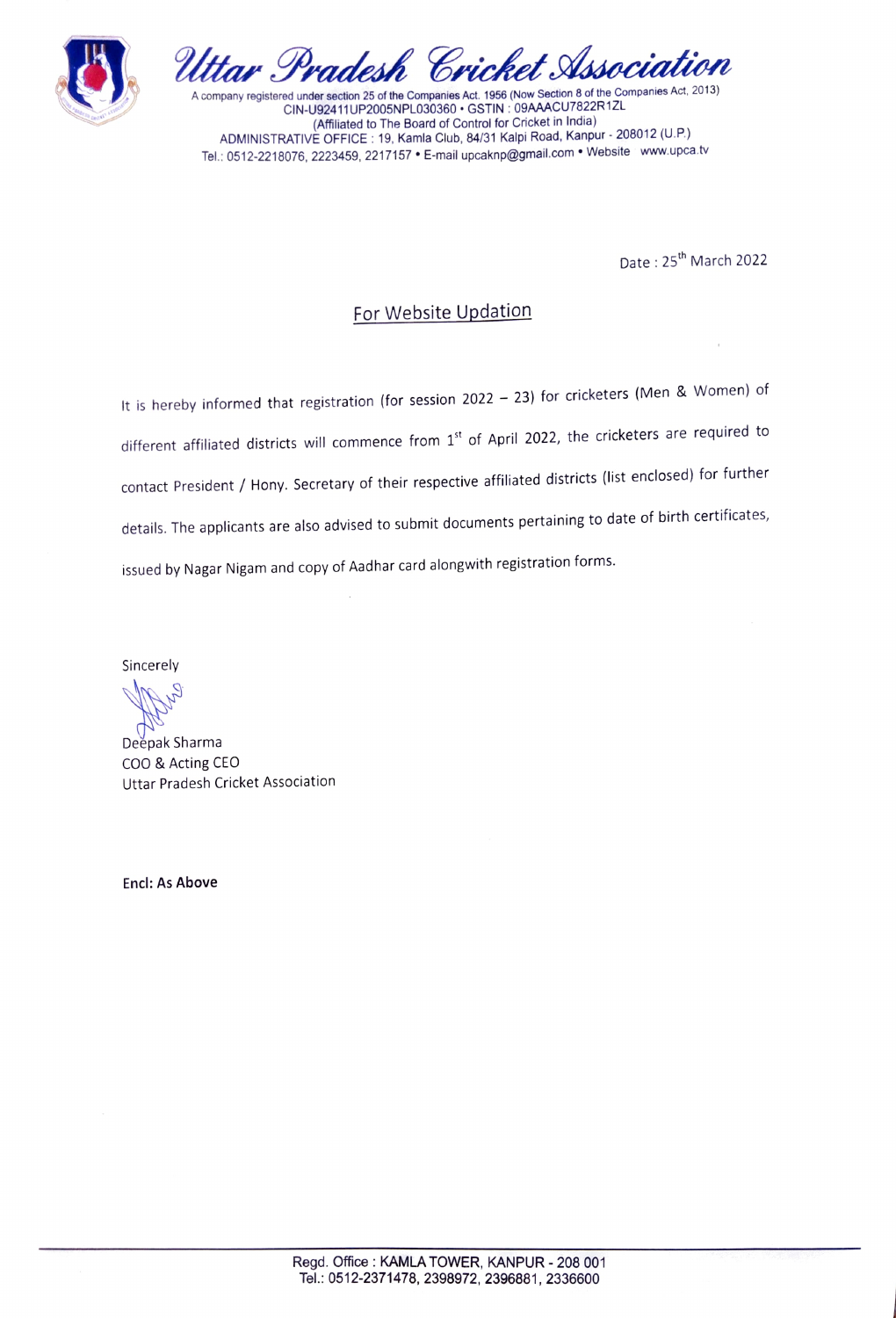



CIN-U92411UP2005NPL030360 GSTIN: 09AAACU7822R1ZL (Affliated to The Board of Control for Cricket in India) ADMINISTRATIVE OFFICE: 19, Kamla Club, 84/31 Kalpi Road, Kanpur 208012 (U.P.) Tel.: 0512-2218076, 2223459, 2217157 · E-mail upcaknp@gmail.com · Website www.upca.tv

Date: 25<sup>th</sup> March 2022

## For Website Updation

It is hereby informed that registration (for session 2022 – 23) for cricketers (Men & Women) of different affiliated districts will commence from 1st of April 2022, the cricketers are required to contact President / Hony. Secretary of their respective affiliated districts (list enclosed) for further details. The applicants are also advised to submit documents pertaining to date of birth certificates, issued by Nagar Nigam and copy of Aadhar card alongwith registration forms.

Sincerely

Deèpak Sharma COO & Acting CEO Uttar Pradesh Cricket Association

Encl: As Above